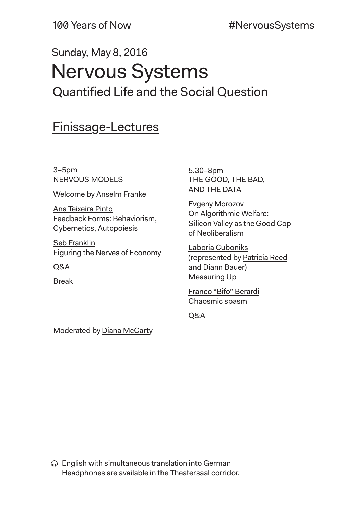# Sunday, May 8, 2016 Nervous Systems Quantified Life and the Social Question

## Finissage-Lectures

3–5pm NERVOUS MODELS

Welcome by Anselm Franke

Ana Teixeira Pinto Feedback Forms: Behaviorism, Cybernetics, Autopoiesis

Seb Franklin Figuring the Nerves of Economy

Q&A

Break

5.30–8pm THE GOOD, THE BAD, AND THE DATA

Evgeny Morozov On Algorithmic Welfare: Silicon Valley as the Good Cop of Neoliberalism

Laboria Cuboniks (represented by Patricia Reed and Diann Bauer) Measuring Up

Franco "Bifo" Berardi Chaosmic spasm

Q&A

Moderated by Diana McCarty

English with simultaneous translation into German Headphones are available in the Theatersaal corridor.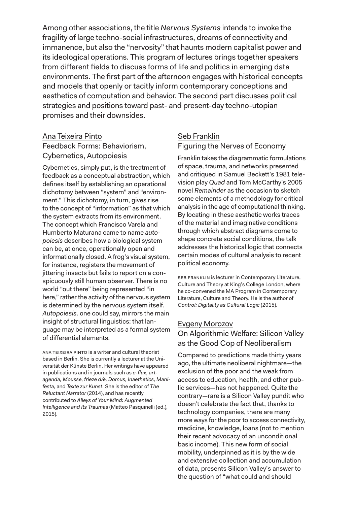Among other associations, the title *Nervous Systems* intends to invoke the fragility of large techno-social infrastructures, dreams of connectivity and immanence, but also the "nervosity" that haunts modern capitalist power and its ideological operations. This program of lectures brings together speakers from different fields to discuss forms of life and politics in emerging data environments. The first part of the afternoon engages with historical concepts and models that openly or tacitly inform contemporary conceptions and aesthetics of computation and behavior. The second part discusses political strategies and positions toward past- and present-day techno-utopian promises and their downsides.

### Ana Teixeira Pinto Feedback Forms: Behaviorism, Cybernetics, Autopoiesis

Cybernetics, simply put, is the treatment of feedback as a conceptual abstraction, which defines itself by establishing an operational dichotomy between "system" and "environment." This dichotomy, in turn, gives rise to the concept of "information" as that which the system extracts from its environment. The concept which Francisco Varela and Humberto Maturana came to name *autopoiesis* describes how a biological system can be, at once, operationally open and informationally closed. A frog's visual system, for instance, registers the movement of jittering insects but fails to report on a conspicuously still human observer. There is no world "out there" being represented "in here," rather the activity of the nervous system is determined by the nervous system itself. *Autopoiesis,* one could say, mirrors the main insight of structural linguistics: that language may be interpreted as a formal system of differential elements.

Ana Teixeira Pinto is a writer and cultural theorist based in Berlin. She is currently a lecturer at the Universität der Künste Berlin. Her writings have appeared in publications and in journals such as *e-flux, artagenda, Mousse, frieze d/e, Domus, Inaethetics, Manifesta,* and *Texte zur Kunst.* She is the editor of *The Reluctant Narrator* (2014), and has recently contributed to *Alleys of Your Mind: Augmented Intelligence and Its Traumas* (Matteo Pasquinelli (ed.), 2015).

## Seb Franklin Figuring the Nerves of Economy

Franklin takes the diagrammatic formulations of space, trauma, and networks presented and critiqued in Samuel Beckett's 1981 television play *Quad* and Tom McCarthy's 2005 novel *Remainder* as the occasion to sketch some elements of a methodology for critical analysis in the age of computational thinking. By locating in these aesthetic works traces of the material and imaginative conditions through which abstract diagrams come to shape concrete social conditions, the talk addresses the historical logic that connects certain modes of cultural analysis to recent political economy.

SEB FRANKLIN is lecturer in Contemporary Literature, Culture and Theory at King's College London, where he co-convened the MA Program in Contemporary Literature, Culture and Theory. He is the author of *Control: Digitality as Cultural Logic* (2015).

#### Evgeny Morozov

On Algorithmic Welfare: Silicon Valley as the Good Cop of Neoliberalism

Compared to predictions made thirty years ago, the ultimate neoliberal nightmare—the exclusion of the poor and the weak from access to education, health, and other public services—has not happened. Quite the contrary—rare is a Silicon Valley pundit who doesn't celebrate the fact that, thanks to technology companies, there are many more ways for the poor to access connectivity, medicine, knowledge, loans (not to mention their recent advocacy of an unconditional basic income). This new form of social mobility, underpinned as it is by the wide and extensive collection and accumulation of data, presents Silicon Valley's answer to the question of "what could and should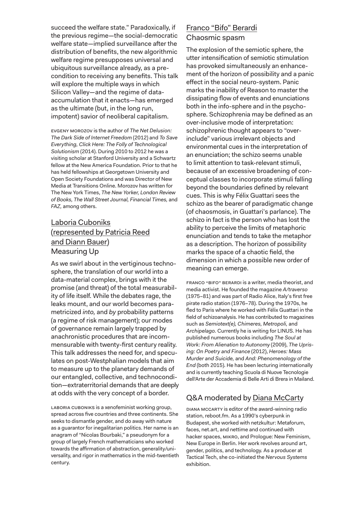succeed the welfare state." Paradoxically, if the previous regime—the social-democratic welfare state—implied surveillance after the distribution of benefits, the new algorithmic welfare regime presupposes universal and ubiquitous surveillance already, as a precondition to receiving any benefits. This talk will explore the multiple ways in which Silicon Valley—and the regime of dataaccumulation that it enacts—has emerged as the ultimate (but, in the long run, impotent) savior of neoliberal capitalism.

Evgeny Morozov is the author of *The Net Delusion: The Dark Side of Internet Freedom* (2012) and *To Save Everything, Click Here: The Folly of Technological Solutionism* (2014). During 2010 to 2012 he was a visiting scholar at Stanford University and a Schwartz fellow at the New America Foundation. Prior to that he has held fellowships at Georgetown University and Open Society Foundations and was Director of New Media at Transitions Online. Morozov has written for The New York Times, *The New Yorker, London Review of Books, The Wall Street Journal, Financial Times,* and *FAZ,* among others.

## Laboria Cuboniks (represented by Patricia Reed and Diann Bauer) Measuring Up

As we swirl about in the vertiginous technosphere, the translation of our world into a data-material complex, brings with it the promise (and threat) of the total measurability of life itself. While the debates rage, the leaks mount, and our world becomes parametricized *into,* and *by* probability patterns (a regime of risk management); our modes of governance remain largely trapped by anachronistic procedures that are incommensurable with twenty-first century reality. This talk addresses the need for, and speculates on post-Westphalian models that aim to measure up to the planetary demands of our entangled, collective, and technocondition—extraterritorial demands that are deeply at odds with the very concept of a border.

Laboria Cuboniks is a xenofeminist working group, spread across five countries and three continents. She seeks to dismantle gender, and do away with nature as a guarantor for inegalitarian politics. Her name is an anagram of "Nicolas Bourbaki," a pseudonym for a group of largely French mathematicians who worked towards the affirmation of abstraction, generality/universality, and rigor in mathematics in the mid-twentieth century.

## Franco "Bifo" Berardi Chaosmic spasm

The explosion of the semiotic sphere, the utter intensification of semiotic stimulation has provoked simultaneously an enhancement of the horizon of possibility and a panic effect in the social neuro-system. Panic marks the inability of Reason to master the dissipating flow of events and enunciations both in the info-sphere and in the psychosphere. Schizophrenia may be defined as an over-inclusive mode of interpretation: schizophrenic thought appears to "overinclude" various irrelevant objects and environmental cues in the interpretation of an enunciation; the schizo seems unable to limit attention to task-relevant stimuli, because of an excessive broadening of conceptual classes to incorporate stimuli falling beyond the boundaries defined by relevant cues. This is why Félix Guattari sees the schizo as the bearer of paradigmatic change (of chaosmosis, in Guattari's parlance). The schizo in fact is the person who has lost the ability to perceive the limits of metaphoric enunciation and tends to take the metaphor as a description. The horizon of possibility marks the space of a chaotic field, the dimension in which a possible new order of meaning can emerge.

Franco "Bifo" Berardi is a writer, media theorist, and media activist. He founded the magazine *A/traverso*  (1975–81) and was part of Radio Alice, Italy's first free pirate radio station (1976–78). During the 1970s, he fled to Paris where he worked with Félix Guattari in the field of schizoanalysis. He has contributed to magazines such as *Semiotext(e), Chimeres, Metropoli,* and *Archipelago.* Currently he is writing for LINUS. He has published numerous books including *The Soul at Work: From Alienation to Autonomy* (2009), *The Uprising: On Poetry and Finance* (2012), *Heroes: Mass Murder and Suicide,* and *And: Phenomenology of the End* (both 2015). He has been lecturing internationally and is currently teaching Scuola di Nuove Tecnologie dell'Arte der Accademia di Belle Arti di Brera in Mailand.

## Q&A moderated by Diana McCarty

Diana McCarty is editor of the award-winning radio station, reboot.fm. As a 1990's cyberpunk in Budapest, she worked with netzkultur: Metaforum, faces, net.art, and nettime and continued with hacker spaces, MIKRO, and Prologue: New Feminism, New Europe in Berlin. Her work revolves around art, gender, politics, and technology. As a producer at Tactical Tech, she co-initiated the *Nervous Systems*  exhibition.